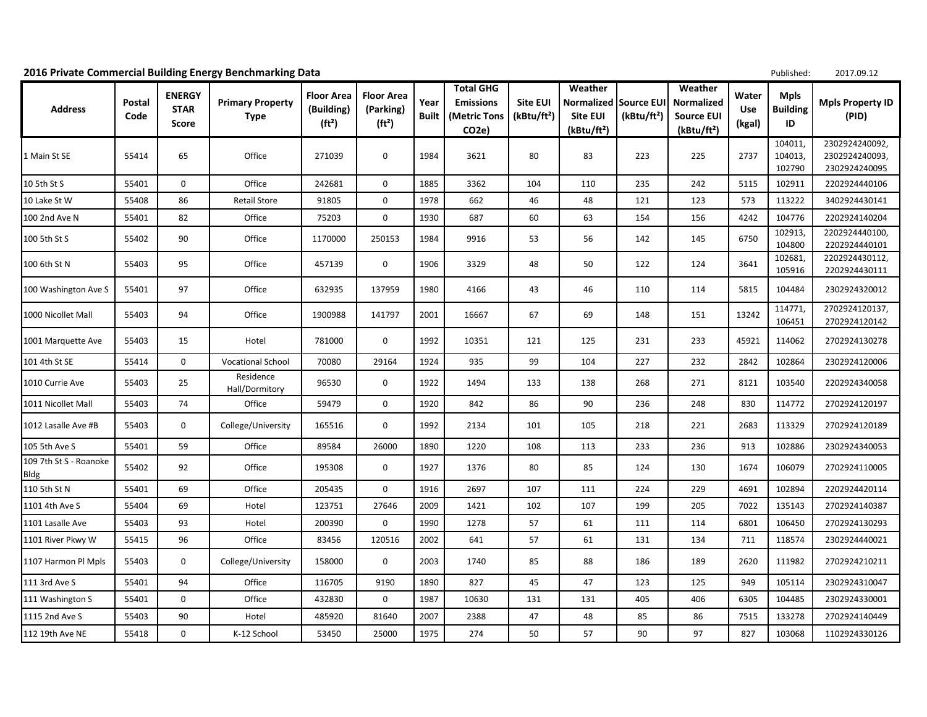|                                |                |                                       | 2016 Private Commercial Building Energy Benchmarking Data |                                                       |                                                      |               |                                                                            |                                            |                                                              |                                       |                                                                       |                        | Published:                           | 2017.09.12                                        |
|--------------------------------|----------------|---------------------------------------|-----------------------------------------------------------|-------------------------------------------------------|------------------------------------------------------|---------------|----------------------------------------------------------------------------|--------------------------------------------|--------------------------------------------------------------|---------------------------------------|-----------------------------------------------------------------------|------------------------|--------------------------------------|---------------------------------------------------|
| <b>Address</b>                 | Postal<br>Code | <b>ENERGY</b><br><b>STAR</b><br>Score | <b>Primary Property</b><br><b>Type</b>                    | <b>Floor Area</b><br>(Building)<br>(ft <sup>2</sup> ) | <b>Floor Area</b><br>(Parking)<br>(ft <sup>2</sup> ) | Year<br>Built | <b>Total GHG</b><br><b>Emissions</b><br>(Metric Tons<br>CO <sub>2</sub> e) | <b>Site EUI</b><br>(kBtu/ft <sup>2</sup> ) | Weather<br>Normalized<br>Site EUI<br>(kBtu/ft <sup>2</sup> ) | Source EUI<br>(kBtu/ft <sup>2</sup> ) | Weather<br>Normalized<br><b>Source EUI</b><br>(kBtu/ft <sup>2</sup> ) | Water<br>Use<br>(kgal) | <b>Mpls</b><br><b>Building</b><br>ID | <b>Mpls Property ID</b><br>(PID)                  |
| 1 Main St SE                   | 55414          | 65                                    | Office                                                    | 271039                                                | 0                                                    | 1984          | 3621                                                                       | 80                                         | 83                                                           | 223                                   | 225                                                                   | 2737                   | 104011,<br>104013,<br>102790         | 2302924240092,<br>2302924240093,<br>2302924240095 |
| 10 5th St S                    | 55401          | 0                                     | Office                                                    | 242681                                                | 0                                                    | 1885          | 3362                                                                       | 104                                        | 110                                                          | 235                                   | 242                                                                   | 5115                   | 102911                               | 2202924440106                                     |
| 10 Lake St W                   | 55408          | 86                                    | <b>Retail Store</b>                                       | 91805                                                 | 0                                                    | 1978          | 662                                                                        | 46                                         | 48                                                           | 121                                   | 123                                                                   | 573                    | 113222                               | 3402924430141                                     |
| 100 2nd Ave N                  | 55401          | 82                                    | Office                                                    | 75203                                                 | 0                                                    | 1930          | 687                                                                        | 60                                         | 63                                                           | 154                                   | 156                                                                   | 4242                   | 104776                               | 2202924140204                                     |
| 100 5th St S                   | 55402          | 90                                    | Office                                                    | 1170000                                               | 250153                                               | 1984          | 9916                                                                       | 53                                         | 56                                                           | 142                                   | 145                                                                   | 6750                   | 102913,<br>104800                    | 2202924440100,<br>2202924440101                   |
| 100 6th St N                   | 55403          | 95                                    | Office                                                    | 457139                                                | 0                                                    | 1906          | 3329                                                                       | 48                                         | 50                                                           | 122                                   | 124                                                                   | 3641                   | 102681<br>105916                     | 2202924430112,<br>2202924430111                   |
| 100 Washington Ave S           | 55401          | 97                                    | Office                                                    | 632935                                                | 137959                                               | 1980          | 4166                                                                       | 43                                         | 46                                                           | 110                                   | 114                                                                   | 5815                   | 104484                               | 2302924320012                                     |
| 1000 Nicollet Mall             | 55403          | 94                                    | Office                                                    | 1900988                                               | 141797                                               | 2001          | 16667                                                                      | 67                                         | 69                                                           | 148                                   | 151                                                                   | 13242                  | 114771,<br>106451                    | 2702924120137,<br>2702924120142                   |
| 1001 Marquette Ave             | 55403          | 15                                    | Hotel                                                     | 781000                                                | 0                                                    | 1992          | 10351                                                                      | 121                                        | 125                                                          | 231                                   | 233                                                                   | 45921                  | 114062                               | 2702924130278                                     |
| 101 4th St SE                  | 55414          | 0                                     | <b>Vocational School</b>                                  | 70080                                                 | 29164                                                | 1924          | 935                                                                        | 99                                         | 104                                                          | 227                                   | 232                                                                   | 2842                   | 102864                               | 2302924120006                                     |
| 1010 Currie Ave                | 55403          | 25                                    | Residence<br>Hall/Dormitory                               | 96530                                                 | 0                                                    | 1922          | 1494                                                                       | 133                                        | 138                                                          | 268                                   | 271                                                                   | 8121                   | 103540                               | 2202924340058                                     |
| 1011 Nicollet Mall             | 55403          | 74                                    | Office                                                    | 59479                                                 | $\mathbf 0$                                          | 1920          | 842                                                                        | 86                                         | 90                                                           | 236                                   | 248                                                                   | 830                    | 114772                               | 2702924120197                                     |
| 1012 Lasalle Ave #B            | 55403          | 0                                     | College/University                                        | 165516                                                | 0                                                    | 1992          | 2134                                                                       | 101                                        | 105                                                          | 218                                   | 221                                                                   | 2683                   | 113329                               | 2702924120189                                     |
| 105 5th Ave S                  | 55401          | 59                                    | Office                                                    | 89584                                                 | 26000                                                | 1890          | 1220                                                                       | 108                                        | 113                                                          | 233                                   | 236                                                                   | 913                    | 102886                               | 2302924340053                                     |
| 109 7th St S - Roanoke<br>Bldg | 55402          | 92                                    | Office                                                    | 195308                                                | 0                                                    | 1927          | 1376                                                                       | 80                                         | 85                                                           | 124                                   | 130                                                                   | 1674                   | 106079                               | 2702924110005                                     |
| 110 5th St N                   | 55401          | 69                                    | Office                                                    | 205435                                                | $\mathbf 0$                                          | 1916          | 2697                                                                       | 107                                        | 111                                                          | 224                                   | 229                                                                   | 4691                   | 102894                               | 2202924420114                                     |
| 1101 4th Ave S                 | 55404          | 69                                    | Hotel                                                     | 123751                                                | 27646                                                | 2009          | 1421                                                                       | 102                                        | 107                                                          | 199                                   | 205                                                                   | 7022                   | 135143                               | 2702924140387                                     |
| 1101 Lasalle Ave               | 55403          | 93                                    | Hotel                                                     | 200390                                                | 0                                                    | 1990          | 1278                                                                       | 57                                         | 61                                                           | 111                                   | 114                                                                   | 6801                   | 106450                               | 2702924130293                                     |
| 1101 River Pkwy W              | 55415          | 96                                    | Office                                                    | 83456                                                 | 120516                                               | 2002          | 641                                                                        | 57                                         | 61                                                           | 131                                   | 134                                                                   | 711                    | 118574                               | 2302924440021                                     |
| 1107 Harmon Pl Mpls            | 55403          | 0                                     | College/University                                        | 158000                                                | 0                                                    | 2003          | 1740                                                                       | 85                                         | 88                                                           | 186                                   | 189                                                                   | 2620                   | 111982                               | 2702924210211                                     |
| 111 3rd Ave S                  | 55401          | 94                                    | Office                                                    | 116705                                                | 9190                                                 | 1890          | 827                                                                        | 45                                         | 47                                                           | 123                                   | 125                                                                   | 949                    | 105114                               | 2302924310047                                     |
| 111 Washington S               | 55401          | 0                                     | Office                                                    | 432830                                                | 0                                                    | 1987          | 10630                                                                      | 131                                        | 131                                                          | 405                                   | 406                                                                   | 6305                   | 104485                               | 2302924330001                                     |
| 1115 2nd Ave S                 | 55403          | 90                                    | Hotel                                                     | 485920                                                | 81640                                                | 2007          | 2388                                                                       | 47                                         | 48                                                           | 85                                    | 86                                                                    | 7515                   | 133278                               | 2702924140449                                     |
| 112 19th Ave NE                | 55418          | 0                                     | K-12 School                                               | 53450                                                 | 25000                                                | 1975          | 274                                                                        | 50                                         | 57                                                           | 90                                    | 97                                                                    | 827                    | 103068                               | 1102924330126                                     |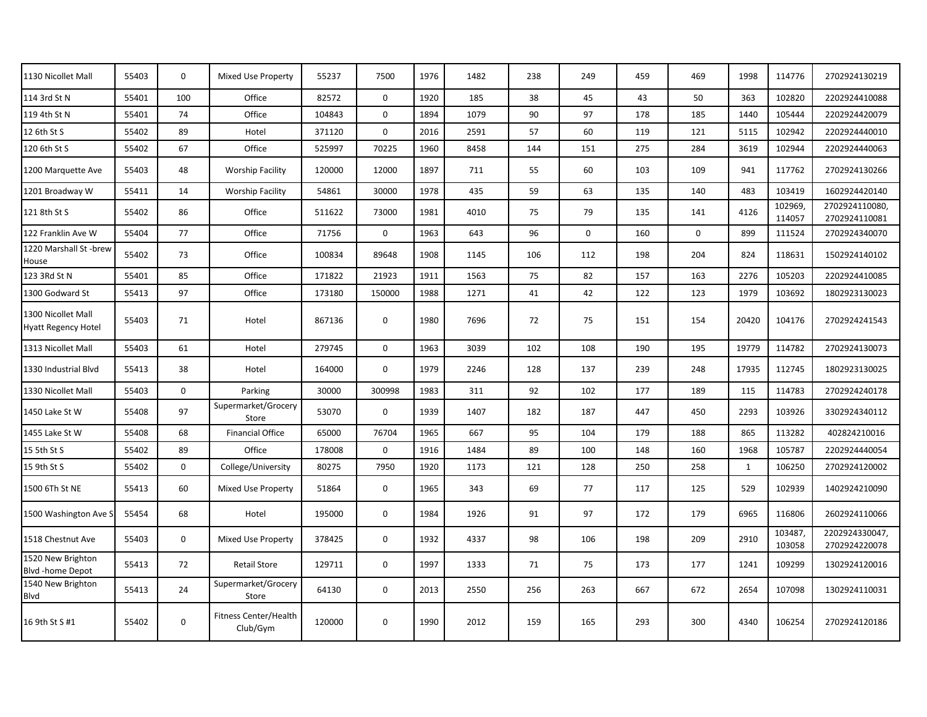| 1130 Nicollet Mall                               | 55403 | $\mathbf 0$ | Mixed Use Property                | 55237  | 7500         | 1976 | 1482 | 238 | 249         | 459 | 469         | 1998         | 114776            | 2702924130219                   |
|--------------------------------------------------|-------|-------------|-----------------------------------|--------|--------------|------|------|-----|-------------|-----|-------------|--------------|-------------------|---------------------------------|
| 114 3rd St N                                     | 55401 | 100         | Office                            | 82572  | $\mathbf 0$  | 1920 | 185  | 38  | 45          | 43  | 50          | 363          | 102820            | 2202924410088                   |
| 119 4th St N                                     | 55401 | 74          | Office                            | 104843 | $\mathbf 0$  | 1894 | 1079 | 90  | 97          | 178 | 185         | 1440         | 105444            | 2202924420079                   |
| 12 6th St S                                      | 55402 | 89          | Hotel                             | 371120 | $\mathbf 0$  | 2016 | 2591 | 57  | 60          | 119 | 121         | 5115         | 102942            | 2202924440010                   |
| 120 6th St S                                     | 55402 | 67          | Office                            | 525997 | 70225        | 1960 | 8458 | 144 | 151         | 275 | 284         | 3619         | 102944            | 2202924440063                   |
| 1200 Marquette Ave                               | 55403 | 48          | <b>Worship Facility</b>           | 120000 | 12000        | 1897 | 711  | 55  | 60          | 103 | 109         | 941          | 117762            | 2702924130266                   |
| 1201 Broadway W                                  | 55411 | 14          | <b>Worship Facility</b>           | 54861  | 30000        | 1978 | 435  | 59  | 63          | 135 | 140         | 483          | 103419            | 1602924420140                   |
| 121 8th St S                                     | 55402 | 86          | Office                            | 511622 | 73000        | 1981 | 4010 | 75  | 79          | 135 | 141         | 4126         | 102969,<br>114057 | 2702924110080,<br>2702924110081 |
| 122 Franklin Ave W                               | 55404 | 77          | Office                            | 71756  | $\mathbf 0$  | 1963 | 643  | 96  | $\mathbf 0$ | 160 | $\mathbf 0$ | 899          | 111524            | 2702924340070                   |
| 1220 Marshall St -brew<br>House                  | 55402 | 73          | Office                            | 100834 | 89648        | 1908 | 1145 | 106 | 112         | 198 | 204         | 824          | 118631            | 1502924140102                   |
| 123 3Rd St N                                     | 55401 | 85          | Office                            | 171822 | 21923        | 1911 | 1563 | 75  | 82          | 157 | 163         | 2276         | 105203            | 2202924410085                   |
| 1300 Godward St                                  | 55413 | 97          | Office                            | 173180 | 150000       | 1988 | 1271 | 41  | 42          | 122 | 123         | 1979         | 103692            | 1802923130023                   |
| 1300 Nicollet Mall<br><b>Hyatt Regency Hotel</b> | 55403 | 71          | Hotel                             | 867136 | $\mathbf 0$  | 1980 | 7696 | 72  | 75          | 151 | 154         | 20420        | 104176            | 2702924241543                   |
| 1313 Nicollet Mall                               | 55403 | 61          | Hotel                             | 279745 | $\mathbf{0}$ | 1963 | 3039 | 102 | 108         | 190 | 195         | 19779        | 114782            | 2702924130073                   |
| 1330 Industrial Blvd                             | 55413 | 38          | Hotel                             | 164000 | $\mathbf{0}$ | 1979 | 2246 | 128 | 137         | 239 | 248         | 17935        | 112745            | 1802923130025                   |
| 1330 Nicollet Mall                               | 55403 | $\mathbf 0$ | Parking                           | 30000  | 300998       | 1983 | 311  | 92  | 102         | 177 | 189         | 115          | 114783            | 2702924240178                   |
| 1450 Lake St W                                   | 55408 | 97          | Supermarket/Grocery<br>Store      | 53070  | $\mathbf 0$  | 1939 | 1407 | 182 | 187         | 447 | 450         | 2293         | 103926            | 3302924340112                   |
| 1455 Lake St W                                   | 55408 | 68          | <b>Financial Office</b>           | 65000  | 76704        | 1965 | 667  | 95  | 104         | 179 | 188         | 865          | 113282            | 402824210016                    |
| 15 5th St S                                      | 55402 | 89          | Office                            | 178008 | 0            | 1916 | 1484 | 89  | 100         | 148 | 160         | 1968         | 105787            | 2202924440054                   |
| 15 9th St S                                      | 55402 | $\mathbf 0$ | College/University                | 80275  | 7950         | 1920 | 1173 | 121 | 128         | 250 | 258         | $\mathbf{1}$ | 106250            | 2702924120002                   |
| 1500 6Th St NE                                   | 55413 | 60          | Mixed Use Property                | 51864  | $\mathbf 0$  | 1965 | 343  | 69  | 77          | 117 | 125         | 529          | 102939            | 1402924210090                   |
| 1500 Washington Ave S                            | 55454 | 68          | Hotel                             | 195000 | 0            | 1984 | 1926 | 91  | 97          | 172 | 179         | 6965         | 116806            | 2602924110066                   |
| 1518 Chestnut Ave                                | 55403 | $\mathbf 0$ | Mixed Use Property                | 378425 | $\mathbf 0$  | 1932 | 4337 | 98  | 106         | 198 | 209         | 2910         | 103487,<br>103058 | 2202924330047,<br>2702924220078 |
| 1520 New Brighton<br>Blvd -home Depot            | 55413 | 72          | <b>Retail Store</b>               | 129711 | $\mathbf 0$  | 1997 | 1333 | 71  | 75          | 173 | 177         | 1241         | 109299            | 1302924120016                   |
| 1540 New Brighton<br>Blvd                        | 55413 | 24          | Supermarket/Grocery<br>Store      | 64130  | $\mathbf 0$  | 2013 | 2550 | 256 | 263         | 667 | 672         | 2654         | 107098            | 1302924110031                   |
| 16 9th St S #1                                   | 55402 | $\mathbf 0$ | Fitness Center/Health<br>Club/Gym | 120000 | 0            | 1990 | 2012 | 159 | 165         | 293 | 300         | 4340         | 106254            | 2702924120186                   |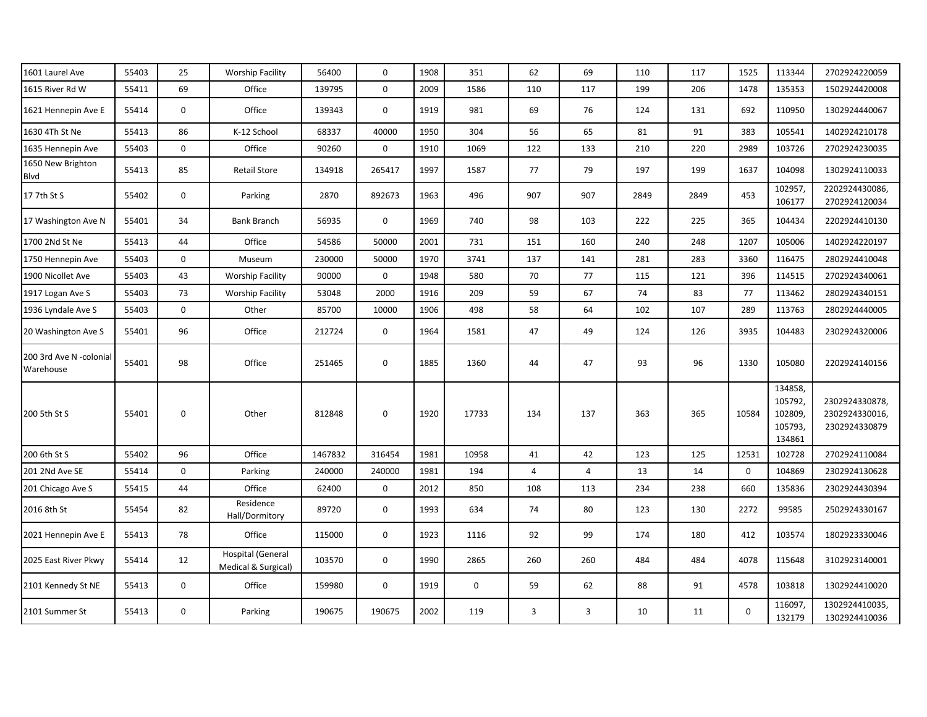| 1601 Laurel Ave                      | 55403 | 25          | <b>Worship Facility</b>                         | 56400   | 0      | 1908 | 351         | 62             | 69  | 110  | 117  | 1525         | 113344                                             | 2702924220059                                    |
|--------------------------------------|-------|-------------|-------------------------------------------------|---------|--------|------|-------------|----------------|-----|------|------|--------------|----------------------------------------------------|--------------------------------------------------|
| 1615 River Rd W                      | 55411 | 69          | Office                                          | 139795  | 0      | 2009 | 1586        | 110            | 117 | 199  | 206  | 1478         | 135353                                             | 1502924420008                                    |
| 1621 Hennepin Ave E                  | 55414 | 0           | Office                                          | 139343  | 0      | 1919 | 981         | 69             | 76  | 124  | 131  | 692          | 110950                                             | 1302924440067                                    |
| 1630 4Th St Ne                       | 55413 | 86          | K-12 School                                     | 68337   | 40000  | 1950 | 304         | 56             | 65  | 81   | 91   | 383          | 105541                                             | 1402924210178                                    |
| 1635 Hennepin Ave                    | 55403 | 0           | Office                                          | 90260   | 0      | 1910 | 1069        | 122            | 133 | 210  | 220  | 2989         | 103726                                             | 2702924230035                                    |
| 1650 New Brighton<br>Blvd            | 55413 | 85          | <b>Retail Store</b>                             | 134918  | 265417 | 1997 | 1587        | 77             | 79  | 197  | 199  | 1637         | 104098                                             | 1302924110033                                    |
| 17 7th St S                          | 55402 | 0           | Parking                                         | 2870    | 892673 | 1963 | 496         | 907            | 907 | 2849 | 2849 | 453          | 102957,<br>106177                                  | 2202924430086,<br>2702924120034                  |
| 17 Washington Ave N                  | 55401 | 34          | <b>Bank Branch</b>                              | 56935   | 0      | 1969 | 740         | 98             | 103 | 222  | 225  | 365          | 104434                                             | 2202924410130                                    |
| 1700 2Nd St Ne                       | 55413 | 44          | Office                                          | 54586   | 50000  | 2001 | 731         | 151            | 160 | 240  | 248  | 1207         | 105006                                             | 1402924220197                                    |
| 1750 Hennepin Ave                    | 55403 | 0           | Museum                                          | 230000  | 50000  | 1970 | 3741        | 137            | 141 | 281  | 283  | 3360         | 116475                                             | 2802924410048                                    |
| 1900 Nicollet Ave                    | 55403 | 43          | <b>Worship Facility</b>                         | 90000   | 0      | 1948 | 580         | 70             | 77  | 115  | 121  | 396          | 114515                                             | 2702924340061                                    |
| 1917 Logan Ave S                     | 55403 | 73          | <b>Worship Facility</b>                         | 53048   | 2000   | 1916 | 209         | 59             | 67  | 74   | 83   | 77           | 113462                                             | 2802924340151                                    |
| 1936 Lyndale Ave S                   | 55403 | 0           | Other                                           | 85700   | 10000  | 1906 | 498         | 58             | 64  | 102  | 107  | 289          | 113763                                             | 2802924440005                                    |
| 20 Washington Ave S                  | 55401 | 96          | Office                                          | 212724  | 0      | 1964 | 1581        | 47             | 49  | 124  | 126  | 3935         | 104483                                             | 2302924320006                                    |
| 200 3rd Ave N -colonial<br>Warehouse | 55401 | 98          | Office                                          | 251465  | 0      | 1885 | 1360        | 44             | 47  | 93   | 96   | 1330         | 105080                                             | 2202924140156                                    |
| 200 5th St S                         | 55401 | 0           | Other                                           | 812848  | 0      | 1920 | 17733       | 134            | 137 | 363  | 365  | 10584        | 134858,<br>105792,<br>102809,<br>105793,<br>134861 | 2302924330878<br>2302924330016,<br>2302924330879 |
| 200 6th St S                         | 55402 | 96          | Office                                          | 1467832 | 316454 | 1981 | 10958       | 41             | 42  | 123  | 125  | 12531        | 102728                                             | 2702924110084                                    |
| 201 2Nd Ave SE                       | 55414 | 0           | Parking                                         | 240000  | 240000 | 1981 | 194         | $\overline{4}$ | 4   | 13   | 14   | $\mathbf 0$  | 104869                                             | 2302924130628                                    |
| 201 Chicago Ave S                    | 55415 | 44          | Office                                          | 62400   | 0      | 2012 | 850         | 108            | 113 | 234  | 238  | 660          | 135836                                             | 2302924430394                                    |
| 2016 8th St                          | 55454 | 82          | Residence<br>Hall/Dormitory                     | 89720   | 0      | 1993 | 634         | 74             | 80  | 123  | 130  | 2272         | 99585                                              | 2502924330167                                    |
| 2021 Hennepin Ave E                  | 55413 | 78          | Office                                          | 115000  | 0      | 1923 | 1116        | 92             | 99  | 174  | 180  | 412          | 103574                                             | 1802923330046                                    |
| 2025 East River Pkwy                 | 55414 | 12          | <b>Hospital (General</b><br>Medical & Surgical) | 103570  | 0      | 1990 | 2865        | 260            | 260 | 484  | 484  | 4078         | 115648                                             | 3102923140001                                    |
| 2101 Kennedy St NE                   | 55413 | 0           | Office                                          | 159980  | 0      | 1919 | $\mathbf 0$ | 59             | 62  | 88   | 91   | 4578         | 103818                                             | 1302924410020                                    |
| 2101 Summer St                       | 55413 | $\mathbf 0$ | Parking                                         | 190675  | 190675 | 2002 | 119         | 3              | 3   | 10   | 11   | $\mathbf{0}$ | 116097,<br>132179                                  | 1302924410035,<br>1302924410036                  |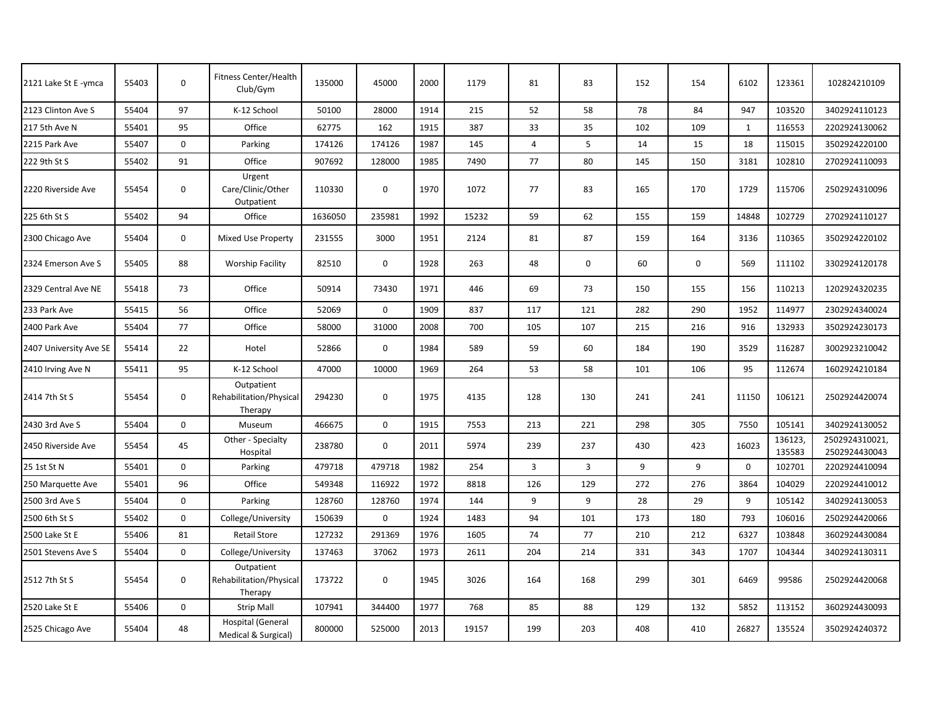| 2121 Lake St E - ymca  | 55403 | $\mathbf 0$ | Fitness Center/Health<br>Club/Gym                | 135000  | 45000       | 2000 | 1179  | 81             | 83             | 152 | 154         | 6102         | 123361            | 102824210109                   |
|------------------------|-------|-------------|--------------------------------------------------|---------|-------------|------|-------|----------------|----------------|-----|-------------|--------------|-------------------|--------------------------------|
| 2123 Clinton Ave S     | 55404 | 97          | K-12 School                                      | 50100   | 28000       | 1914 | 215   | 52             | 58             | 78  | 84          | 947          | 103520            | 3402924110123                  |
| 217 5th Ave N          | 55401 | 95          | Office                                           | 62775   | 162         | 1915 | 387   | 33             | 35             | 102 | 109         | $\mathbf{1}$ | 116553            | 2202924130062                  |
| 2215 Park Ave          | 55407 | 0           | Parking                                          | 174126  | 174126      | 1987 | 145   | 4              | 5              | 14  | 15          | 18           | 115015            | 3502924220100                  |
| 222 9th St S           | 55402 | 91          | Office                                           | 907692  | 128000      | 1985 | 7490  | 77             | 80             | 145 | 150         | 3181         | 102810            | 2702924110093                  |
| 2220 Riverside Ave     | 55454 | 0           | Urgent<br>Care/Clinic/Other<br>Outpatient        | 110330  | $\mathbf 0$ | 1970 | 1072  | 77             | 83             | 165 | 170         | 1729         | 115706            | 2502924310096                  |
| 225 6th St S           | 55402 | 94          | Office                                           | 1636050 | 235981      | 1992 | 15232 | 59             | 62             | 155 | 159         | 14848        | 102729            | 2702924110127                  |
| 2300 Chicago Ave       | 55404 | 0           | Mixed Use Property                               | 231555  | 3000        | 1951 | 2124  | 81             | 87             | 159 | 164         | 3136         | 110365            | 3502924220102                  |
| 2324 Emerson Ave S     | 55405 | 88          | <b>Worship Facility</b>                          | 82510   | $\mathbf 0$ | 1928 | 263   | 48             | $\mathbf 0$    | 60  | $\mathbf 0$ | 569          | 111102            | 3302924120178                  |
| 2329 Central Ave NE    | 55418 | 73          | Office                                           | 50914   | 73430       | 1971 | 446   | 69             | 73             | 150 | 155         | 156          | 110213            | 1202924320235                  |
| 233 Park Ave           | 55415 | 56          | Office                                           | 52069   | $\mathbf 0$ | 1909 | 837   | 117            | 121            | 282 | 290         | 1952         | 114977            | 2302924340024                  |
| 2400 Park Ave          | 55404 | 77          | Office                                           | 58000   | 31000       | 2008 | 700   | 105            | 107            | 215 | 216         | 916          | 132933            | 3502924230173                  |
| 2407 University Ave SE | 55414 | 22          | Hotel                                            | 52866   | $\mathbf 0$ | 1984 | 589   | 59             | 60             | 184 | 190         | 3529         | 116287            | 3002923210042                  |
| 2410 Irving Ave N      | 55411 | 95          | K-12 School                                      | 47000   | 10000       | 1969 | 264   | 53             | 58             | 101 | 106         | 95           | 112674            | 1602924210184                  |
| 2414 7th St S          | 55454 | $\mathbf 0$ | Outpatient<br>Rehabilitation/Physical<br>Therapy | 294230  | $\mathbf 0$ | 1975 | 4135  | 128            | 130            | 241 | 241         | 11150        | 106121            | 2502924420074                  |
| 2430 3rd Ave S         | 55404 | 0           | Museum                                           | 466675  | $\mathbf 0$ | 1915 | 7553  | 213            | 221            | 298 | 305         | 7550         | 105141            | 3402924130052                  |
| 2450 Riverside Ave     | 55454 | 45          | Other - Specialty<br>Hospital                    | 238780  | $\mathbf 0$ | 2011 | 5974  | 239            | 237            | 430 | 423         | 16023        | 136123,<br>135583 | 2502924310021<br>2502924430043 |
| 25 1st St N            | 55401 | $\mathbf 0$ | Parking                                          | 479718  | 479718      | 1982 | 254   | $\overline{3}$ | $\overline{3}$ | 9   | 9           | $\mathbf 0$  | 102701            | 2202924410094                  |
| 250 Marquette Ave      | 55401 | 96          | Office                                           | 549348  | 116922      | 1972 | 8818  | 126            | 129            | 272 | 276         | 3864         | 104029            | 2202924410012                  |
| 2500 3rd Ave S         | 55404 | 0           | Parking                                          | 128760  | 128760      | 1974 | 144   | 9              | 9              | 28  | 29          | 9            | 105142            | 3402924130053                  |
| 2500 6th St S          | 55402 | 0           | College/University                               | 150639  | $\mathbf 0$ | 1924 | 1483  | 94             | 101            | 173 | 180         | 793          | 106016            | 2502924420066                  |
| 2500 Lake St E         | 55406 | 81          | <b>Retail Store</b>                              | 127232  | 291369      | 1976 | 1605  | 74             | 77             | 210 | 212         | 6327         | 103848            | 3602924430084                  |
| 2501 Stevens Ave S     | 55404 | $\mathbf 0$ | College/University                               | 137463  | 37062       | 1973 | 2611  | 204            | 214            | 331 | 343         | 1707         | 104344            | 3402924130311                  |
| 2512 7th St S          | 55454 | $\mathbf 0$ | Outpatient<br>Rehabilitation/Physical<br>Therapy | 173722  | $\mathbf 0$ | 1945 | 3026  | 164            | 168            | 299 | 301         | 6469         | 99586             | 2502924420068                  |
| 2520 Lake St E         | 55406 | $\mathbf 0$ | <b>Strip Mall</b>                                | 107941  | 344400      | 1977 | 768   | 85             | 88             | 129 | 132         | 5852         | 113152            | 3602924430093                  |
| 2525 Chicago Ave       | 55404 | 48          | <b>Hospital (General</b><br>Medical & Surgical)  | 800000  | 525000      | 2013 | 19157 | 199            | 203            | 408 | 410         | 26827        | 135524            | 3502924240372                  |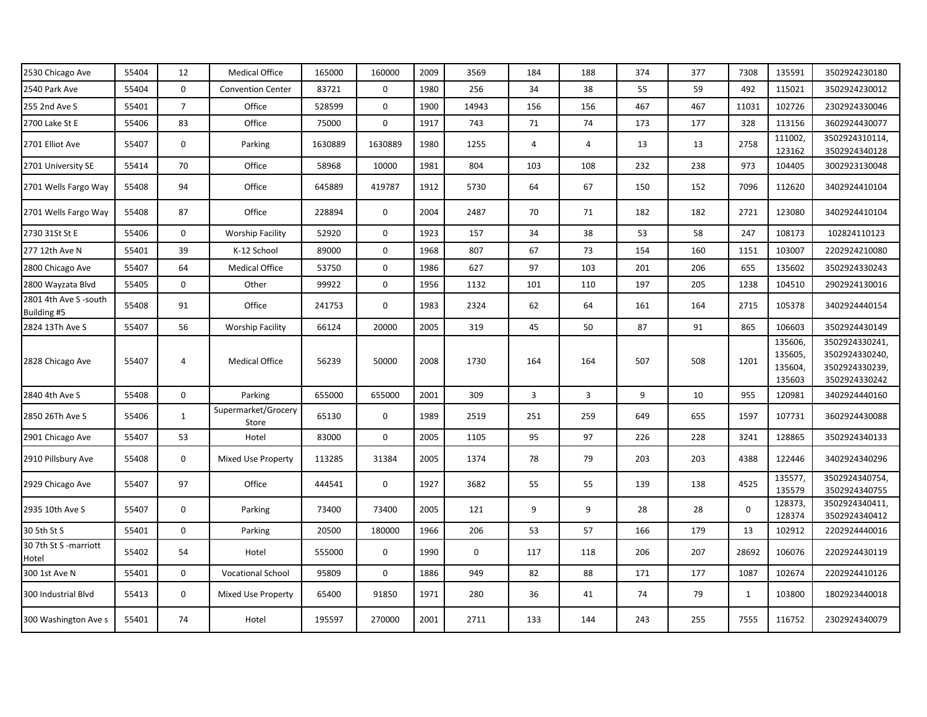| 2530 Chicago Ave                     | 55404 | 12             | <b>Medical Office</b>        | 165000  | 160000      | 2009 | 3569        | 184            | 188            | 374 | 377 | 7308        | 135591                                  | 3502924230180                                                       |
|--------------------------------------|-------|----------------|------------------------------|---------|-------------|------|-------------|----------------|----------------|-----|-----|-------------|-----------------------------------------|---------------------------------------------------------------------|
| 2540 Park Ave                        | 55404 | $\mathbf 0$    | <b>Convention Center</b>     | 83721   | $\mathbf 0$ | 1980 | 256         | 34             | 38             | 55  | 59  | 492         | 115021                                  | 3502924230012                                                       |
| 255 2nd Ave S                        | 55401 | $\overline{7}$ | Office                       | 528599  | $\mathbf 0$ | 1900 | 14943       | 156            | 156            | 467 | 467 | 11031       | 102726                                  | 2302924330046                                                       |
| 2700 Lake St E                       | 55406 | 83             | Office                       | 75000   | 0           | 1917 | 743         | 71             | 74             | 173 | 177 | 328         | 113156                                  | 3602924430077                                                       |
| 2701 Elliot Ave                      | 55407 | $\mathbf 0$    | Parking                      | 1630889 | 1630889     | 1980 | 1255        | $\overline{4}$ | 4              | 13  | 13  | 2758        | 111002,<br>123162                       | 3502924310114,<br>3502924340128                                     |
| 2701 University SE                   | 55414 | 70             | Office                       | 58968   | 10000       | 1981 | 804         | 103            | 108            | 232 | 238 | 973         | 104405                                  | 3002923130048                                                       |
| 2701 Wells Fargo Way                 | 55408 | 94             | Office                       | 645889  | 419787      | 1912 | 5730        | 64             | 67             | 150 | 152 | 7096        | 112620                                  | 3402924410104                                                       |
| 2701 Wells Fargo Way                 | 55408 | 87             | Office                       | 228894  | $\mathbf 0$ | 2004 | 2487        | 70             | 71             | 182 | 182 | 2721        | 123080                                  | 3402924410104                                                       |
| 2730 31St St E                       | 55406 | 0              | <b>Worship Facility</b>      | 52920   | $\mathbf 0$ | 1923 | 157         | 34             | 38             | 53  | 58  | 247         | 108173                                  | 102824110123                                                        |
| 277 12th Ave N                       | 55401 | 39             | K-12 School                  | 89000   | 0           | 1968 | 807         | 67             | 73             | 154 | 160 | 1151        | 103007                                  | 2202924210080                                                       |
| 2800 Chicago Ave                     | 55407 | 64             | <b>Medical Office</b>        | 53750   | 0           | 1986 | 627         | 97             | 103            | 201 | 206 | 655         | 135602                                  | 3502924330243                                                       |
| 2800 Wayzata Blvd                    | 55405 | $\mathbf 0$    | Other                        | 99922   | $\mathbf 0$ | 1956 | 1132        | 101            | 110            | 197 | 205 | 1238        | 104510                                  | 2902924130016                                                       |
| 2801 4th Ave S -south<br>Building #5 | 55408 | 91             | Office                       | 241753  | $\mathbf 0$ | 1983 | 2324        | 62             | 64             | 161 | 164 | 2715        | 105378                                  | 3402924440154                                                       |
| 2824 13Th Ave S                      | 55407 | 56             | <b>Worship Facility</b>      | 66124   | 20000       | 2005 | 319         | 45             | 50             | 87  | 91  | 865         | 106603                                  | 3502924430149                                                       |
| 2828 Chicago Ave                     | 55407 | 4              | <b>Medical Office</b>        | 56239   | 50000       | 2008 | 1730        | 164            | 164            | 507 | 508 | 1201        | 135606,<br>135605,<br>135604,<br>135603 | 3502924330241,<br>3502924330240,<br>3502924330239,<br>3502924330242 |
| 2840 4th Ave S                       | 55408 | $\mathbf 0$    | Parking                      | 655000  | 655000      | 2001 | 309         | 3              | $\overline{3}$ | 9   | 10  | 955         | 120981                                  | 3402924440160                                                       |
| 2850 26Th Ave S                      | 55406 | $\mathbf{1}$   | Supermarket/Grocery<br>Store | 65130   | 0           | 1989 | 2519        | 251            | 259            | 649 | 655 | 1597        | 107731                                  | 3602924430088                                                       |
| 2901 Chicago Ave                     | 55407 | 53             | Hotel                        | 83000   | 0           | 2005 | 1105        | 95             | 97             | 226 | 228 | 3241        | 128865                                  | 3502924340133                                                       |
| 2910 Pillsbury Ave                   | 55408 | $\mathbf 0$    | Mixed Use Property           | 113285  | 31384       | 2005 | 1374        | 78             | 79             | 203 | 203 | 4388        | 122446                                  | 3402924340296                                                       |
| 2929 Chicago Ave                     | 55407 | 97             | Office                       | 444541  | 0           | 1927 | 3682        | 55             | 55             | 139 | 138 | 4525        | 135577,<br>135579                       | 3502924340754,<br>3502924340755                                     |
| 2935 10th Ave S                      | 55407 | $\mathbf 0$    | Parking                      | 73400   | 73400       | 2005 | 121         | 9              | 9              | 28  | 28  | $\mathbf 0$ | 128373<br>128374                        | 3502924340411,<br>3502924340412                                     |
| 30 5th St S                          | 55401 | $\mathbf 0$    | Parking                      | 20500   | 180000      | 1966 | 206         | 53             | 57             | 166 | 179 | 13          | 102912                                  | 2202924440016                                                       |
| 30 7th St S -marriott<br>Hotel       | 55402 | 54             | Hotel                        | 555000  | $\mathbf 0$ | 1990 | $\mathbf 0$ | 117            | 118            | 206 | 207 | 28692       | 106076                                  | 2202924430119                                                       |
| 300 1st Ave N                        | 55401 | $\mathbf 0$    | <b>Vocational School</b>     | 95809   | $\mathbf 0$ | 1886 | 949         | 82             | 88             | 171 | 177 | 1087        | 102674                                  | 2202924410126                                                       |
| 300 Industrial Blvd                  | 55413 | 0              | Mixed Use Property           | 65400   | 91850       | 1971 | 280         | 36             | 41             | 74  | 79  | 1           | 103800                                  | 1802923440018                                                       |
| 300 Washington Ave s                 | 55401 | 74             | Hotel                        | 195597  | 270000      | 2001 | 2711        | 133            | 144            | 243 | 255 | 7555        | 116752                                  | 2302924340079                                                       |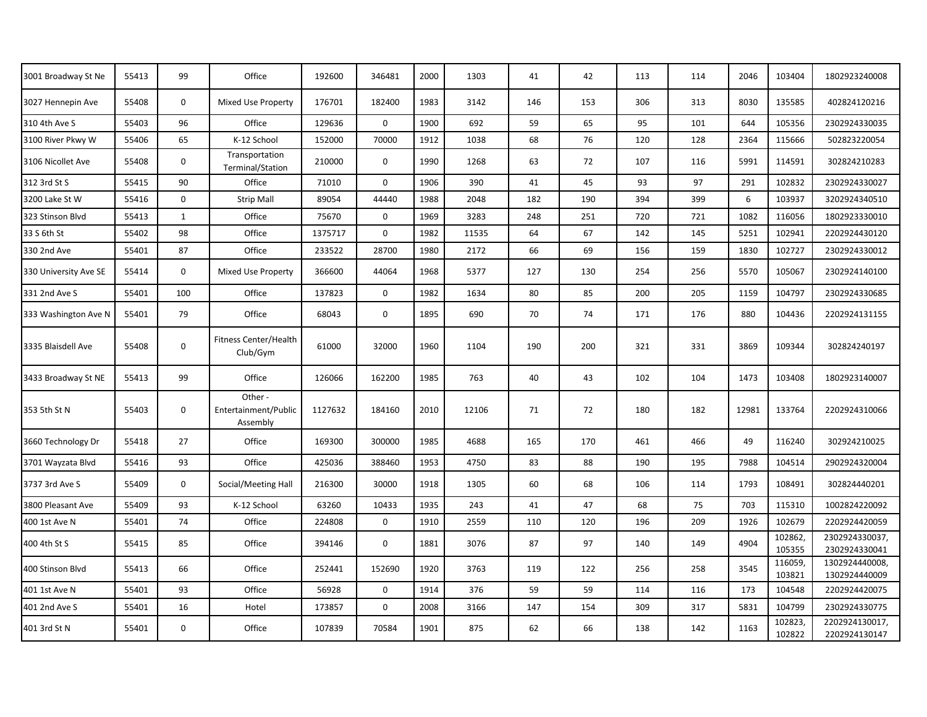| 3001 Broadway St Ne   | 55413 | 99           | Office                                      | 192600  | 346481      | 2000 | 1303  | 41  | 42  | 113 | 114 | 2046  | 103404            | 1802923240008                   |
|-----------------------|-------|--------------|---------------------------------------------|---------|-------------|------|-------|-----|-----|-----|-----|-------|-------------------|---------------------------------|
| 3027 Hennepin Ave     | 55408 | $\mathbf 0$  | Mixed Use Property                          | 176701  | 182400      | 1983 | 3142  | 146 | 153 | 306 | 313 | 8030  | 135585            | 402824120216                    |
| 310 4th Ave S         | 55403 | 96           | Office                                      | 129636  | $\mathbf 0$ | 1900 | 692   | 59  | 65  | 95  | 101 | 644   | 105356            | 2302924330035                   |
| 3100 River Pkwy W     | 55406 | 65           | K-12 School                                 | 152000  | 70000       | 1912 | 1038  | 68  | 76  | 120 | 128 | 2364  | 115666            | 502823220054                    |
| 3106 Nicollet Ave     | 55408 | $\mathbf 0$  | Transportation<br>Terminal/Station          | 210000  | 0           | 1990 | 1268  | 63  | 72  | 107 | 116 | 5991  | 114591            | 302824210283                    |
| 312 3rd St S          | 55415 | 90           | Office                                      | 71010   | $\mathbf 0$ | 1906 | 390   | 41  | 45  | 93  | 97  | 291   | 102832            | 2302924330027                   |
| 3200 Lake St W        | 55416 | $\mathbf 0$  | <b>Strip Mall</b>                           | 89054   | 44440       | 1988 | 2048  | 182 | 190 | 394 | 399 | 6     | 103937            | 3202924340510                   |
| 323 Stinson Blvd      | 55413 | $\mathbf{1}$ | Office                                      | 75670   | $\mathbf 0$ | 1969 | 3283  | 248 | 251 | 720 | 721 | 1082  | 116056            | 1802923330010                   |
| 33 S 6th St           | 55402 | 98           | Office                                      | 1375717 | $\mathbf 0$ | 1982 | 11535 | 64  | 67  | 142 | 145 | 5251  | 102941            | 2202924430120                   |
| 330 2nd Ave           | 55401 | 87           | Office                                      | 233522  | 28700       | 1980 | 2172  | 66  | 69  | 156 | 159 | 1830  | 102727            | 2302924330012                   |
| 330 University Ave SE | 55414 | $\mathbf 0$  | Mixed Use Property                          | 366600  | 44064       | 1968 | 5377  | 127 | 130 | 254 | 256 | 5570  | 105067            | 2302924140100                   |
| 331 2nd Ave S         | 55401 | 100          | Office                                      | 137823  | $\mathbf 0$ | 1982 | 1634  | 80  | 85  | 200 | 205 | 1159  | 104797            | 2302924330685                   |
| 333 Washington Ave N  | 55401 | 79           | Office                                      | 68043   | $\mathbf 0$ | 1895 | 690   | 70  | 74  | 171 | 176 | 880   | 104436            | 2202924131155                   |
| 3335 Blaisdell Ave    | 55408 | $\mathbf 0$  | <b>Fitness Center/Health</b><br>Club/Gym    | 61000   | 32000       | 1960 | 1104  | 190 | 200 | 321 | 331 | 3869  | 109344            | 302824240197                    |
| 3433 Broadway St NE   | 55413 | 99           | Office                                      | 126066  | 162200      | 1985 | 763   | 40  | 43  | 102 | 104 | 1473  | 103408            | 1802923140007                   |
| 353 5th St N          | 55403 | 0            | Other -<br>Entertainment/Public<br>Assembly | 1127632 | 184160      | 2010 | 12106 | 71  | 72  | 180 | 182 | 12981 | 133764            | 2202924310066                   |
| 3660 Technology Dr    | 55418 | 27           | Office                                      | 169300  | 300000      | 1985 | 4688  | 165 | 170 | 461 | 466 | 49    | 116240            | 302924210025                    |
| 3701 Wayzata Blvd     | 55416 | 93           | Office                                      | 425036  | 388460      | 1953 | 4750  | 83  | 88  | 190 | 195 | 7988  | 104514            | 2902924320004                   |
| 3737 3rd Ave S        | 55409 | $\mathbf 0$  | Social/Meeting Hall                         | 216300  | 30000       | 1918 | 1305  | 60  | 68  | 106 | 114 | 1793  | 108491            | 302824440201                    |
| 3800 Pleasant Ave     | 55409 | 93           | K-12 School                                 | 63260   | 10433       | 1935 | 243   | 41  | 47  | 68  | 75  | 703   | 115310            | 1002824220092                   |
| 400 1st Ave N         | 55401 | 74           | Office                                      | 224808  | 0           | 1910 | 2559  | 110 | 120 | 196 | 209 | 1926  | 102679            | 2202924420059                   |
| 400 4th St S          | 55415 | 85           | Office                                      | 394146  | $\mathbf 0$ | 1881 | 3076  | 87  | 97  | 140 | 149 | 4904  | 102862,<br>105355 | 2302924330037,<br>2302924330041 |
| 400 Stinson Blvd      | 55413 | 66           | Office                                      | 252441  | 152690      | 1920 | 3763  | 119 | 122 | 256 | 258 | 3545  | 116059,<br>103821 | 1302924440008,<br>1302924440009 |
| 401 1st Ave N         | 55401 | 93           | Office                                      | 56928   | $\mathbf 0$ | 1914 | 376   | 59  | 59  | 114 | 116 | 173   | 104548            | 2202924420075                   |
| 401 2nd Ave S         | 55401 | 16           | Hotel                                       | 173857  | $\mathbf 0$ | 2008 | 3166  | 147 | 154 | 309 | 317 | 5831  | 104799            | 2302924330775                   |
| 401 3rd St N          | 55401 | $\mathbf 0$  | Office                                      | 107839  | 70584       | 1901 | 875   | 62  | 66  | 138 | 142 | 1163  | 102823,<br>102822 | 2202924130017,<br>2202924130147 |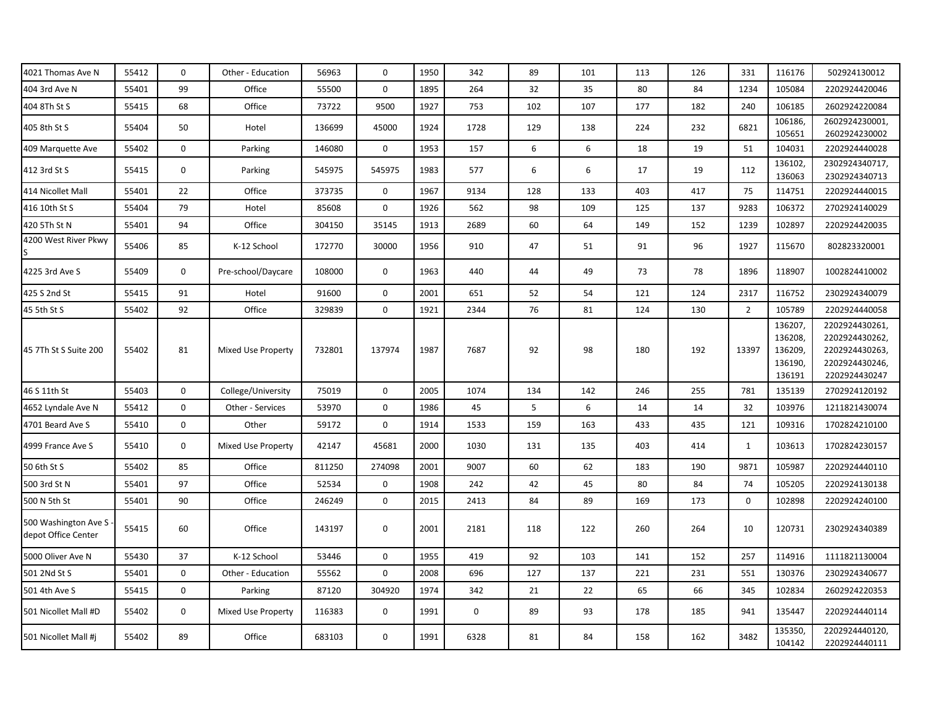| 4021 Thomas Ave N                           | 55412 | $\mathbf 0$ | Other - Education  | 56963  | $\mathbf 0$ | 1950 | 342  | 89  | 101 | 113 | 126 | 331            | 116176                                             | 502924130012                                                                          |
|---------------------------------------------|-------|-------------|--------------------|--------|-------------|------|------|-----|-----|-----|-----|----------------|----------------------------------------------------|---------------------------------------------------------------------------------------|
| 404 3rd Ave N                               | 55401 | 99          | Office             | 55500  | $\mathbf 0$ | 1895 | 264  | 32  | 35  | 80  | 84  | 1234           | 105084                                             | 2202924420046                                                                         |
| 404 8Th St S                                | 55415 | 68          | Office             | 73722  | 9500        | 1927 | 753  | 102 | 107 | 177 | 182 | 240            | 106185                                             | 2602924220084                                                                         |
| 405 8th St S                                | 55404 | 50          | Hotel              | 136699 | 45000       | 1924 | 1728 | 129 | 138 | 224 | 232 | 6821           | 106186,<br>105651                                  | 2602924230001,<br>2602924230002                                                       |
| 409 Marquette Ave                           | 55402 | $\mathbf 0$ | Parking            | 146080 | $\mathbf 0$ | 1953 | 157  | 6   | 6   | 18  | 19  | 51             | 104031                                             | 2202924440028                                                                         |
| 412 3rd St S                                | 55415 | $\mathbf 0$ | Parking            | 545975 | 545975      | 1983 | 577  | 6   | 6   | 17  | 19  | 112            | 136102,<br>136063                                  | 2302924340717,<br>2302924340713                                                       |
| 414 Nicollet Mall                           | 55401 | 22          | Office             | 373735 | $\mathbf 0$ | 1967 | 9134 | 128 | 133 | 403 | 417 | 75             | 114751                                             | 2202924440015                                                                         |
| 416 10th St S                               | 55404 | 79          | Hotel              | 85608  | $\mathbf 0$ | 1926 | 562  | 98  | 109 | 125 | 137 | 9283           | 106372                                             | 2702924140029                                                                         |
| 420 5Th St N                                | 55401 | 94          | Office             | 304150 | 35145       | 1913 | 2689 | 60  | 64  | 149 | 152 | 1239           | 102897                                             | 2202924420035                                                                         |
| 4200 West River Pkwy                        | 55406 | 85          | K-12 School        | 172770 | 30000       | 1956 | 910  | 47  | 51  | 91  | 96  | 1927           | 115670                                             | 802823320001                                                                          |
| 4225 3rd Ave S                              | 55409 | $\mathbf 0$ | Pre-school/Daycare | 108000 | $\mathbf 0$ | 1963 | 440  | 44  | 49  | 73  | 78  | 1896           | 118907                                             | 1002824410002                                                                         |
| 425 S 2nd St                                | 55415 | 91          | Hotel              | 91600  | $\mathbf 0$ | 2001 | 651  | 52  | 54  | 121 | 124 | 2317           | 116752                                             | 2302924340079                                                                         |
| 45 5th St S                                 | 55402 | 92          | Office             | 329839 | $\mathbf 0$ | 1921 | 2344 | 76  | 81  | 124 | 130 | $\overline{2}$ | 105789                                             | 2202924440058                                                                         |
| 45 7Th St S Suite 200                       | 55402 | 81          | Mixed Use Property | 732801 | 137974      | 1987 | 7687 | 92  | 98  | 180 | 192 | 13397          | 136207,<br>136208,<br>136209,<br>136190,<br>136191 | 2202924430261,<br>2202924430262,<br>2202924430263,<br>2202924430246,<br>2202924430247 |
| 46 S 11th St                                | 55403 | $\mathbf 0$ | College/University | 75019  | $\mathbf 0$ | 2005 | 1074 | 134 | 142 | 246 | 255 | 781            | 135139                                             | 2702924120192                                                                         |
| 4652 Lyndale Ave N                          | 55412 | $\mathbf 0$ | Other - Services   | 53970  | $\mathbf 0$ | 1986 | 45   | 5   | 6   | 14  | 14  | 32             | 103976                                             | 1211821430074                                                                         |
| 4701 Beard Ave S                            | 55410 | $\mathbf 0$ | Other              | 59172  | $\mathbf 0$ | 1914 | 1533 | 159 | 163 | 433 | 435 | 121            | 109316                                             | 1702824210100                                                                         |
| 4999 France Ave S                           | 55410 | $\mathbf 0$ | Mixed Use Property | 42147  | 45681       | 2000 | 1030 | 131 | 135 | 403 | 414 | $\mathbf{1}$   | 103613                                             | 1702824230157                                                                         |
| 50 6th St S                                 | 55402 | 85          | Office             | 811250 | 274098      | 2001 | 9007 | 60  | 62  | 183 | 190 | 9871           | 105987                                             | 2202924440110                                                                         |
| 500 3rd St N                                | 55401 | 97          | Office             | 52534  | $\mathbf 0$ | 1908 | 242  | 42  | 45  | 80  | 84  | 74             | 105205                                             | 2202924130138                                                                         |
| 500 N 5th St                                | 55401 | 90          | Office             | 246249 | $\mathbf 0$ | 2015 | 2413 | 84  | 89  | 169 | 173 | $\mathbf 0$    | 102898                                             | 2202924240100                                                                         |
| 500 Washington Ave S<br>depot Office Center | 55415 | 60          | Office             | 143197 | $\mathbf 0$ | 2001 | 2181 | 118 | 122 | 260 | 264 | 10             | 120731                                             | 2302924340389                                                                         |
| 5000 Oliver Ave N                           | 55430 | 37          | K-12 School        | 53446  | $\mathbf 0$ | 1955 | 419  | 92  | 103 | 141 | 152 | 257            | 114916                                             | 1111821130004                                                                         |
| 501 2Nd St S                                | 55401 | $\mathbf 0$ | Other - Education  | 55562  | $\mathbf 0$ | 2008 | 696  | 127 | 137 | 221 | 231 | 551            | 130376                                             | 2302924340677                                                                         |
| 501 4th Ave S                               | 55415 | $\mathbf 0$ | Parking            | 87120  | 304920      | 1974 | 342  | 21  | 22  | 65  | 66  | 345            | 102834                                             | 2602924220353                                                                         |
| 501 Nicollet Mall #D                        | 55402 | $\mathbf 0$ | Mixed Use Property | 116383 | $\mathbf 0$ | 1991 | 0    | 89  | 93  | 178 | 185 | 941            | 135447                                             | 2202924440114                                                                         |
| 501 Nicollet Mall #j                        | 55402 | 89          | Office             | 683103 | $\mathbf 0$ | 1991 | 6328 | 81  | 84  | 158 | 162 | 3482           | 135350,<br>104142                                  | 2202924440120,<br>2202924440111                                                       |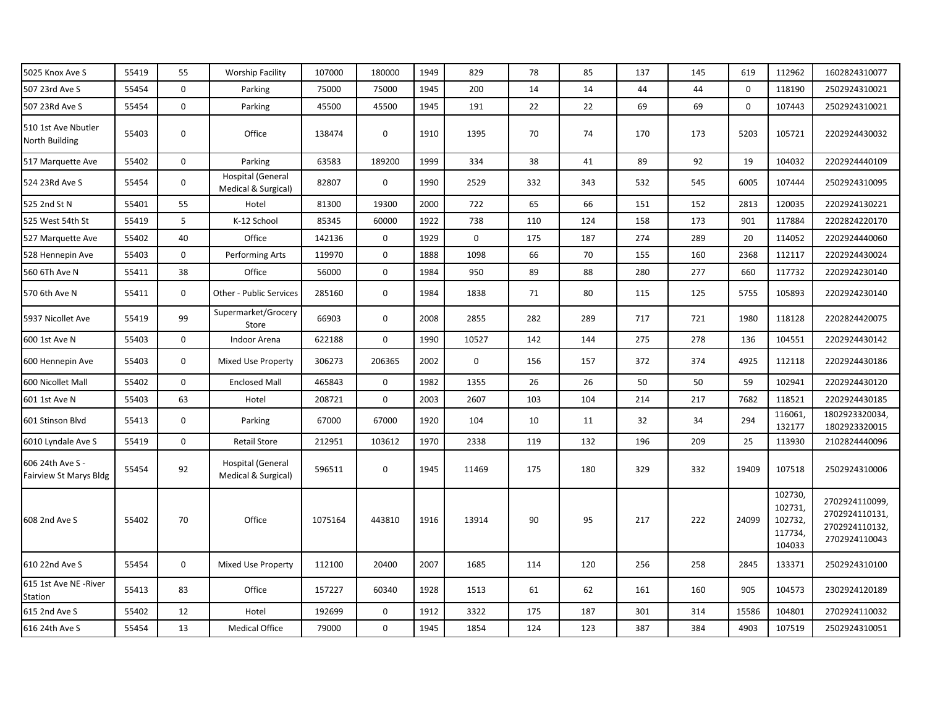| 5025 Knox Ave S                            | 55419 | 55          | <b>Worship Facility</b>                  | 107000  | 180000       | 1949 | 829         | 78  | 85  | 137 | 145 | 619         | 112962                                             | 1602824310077                                                      |
|--------------------------------------------|-------|-------------|------------------------------------------|---------|--------------|------|-------------|-----|-----|-----|-----|-------------|----------------------------------------------------|--------------------------------------------------------------------|
| 507 23rd Ave S                             | 55454 | $\mathbf 0$ | Parking                                  | 75000   | 75000        | 1945 | 200         | 14  | 14  | 44  | 44  | $\mathbf 0$ | 118190                                             | 2502924310021                                                      |
| 507 23Rd Ave S                             | 55454 | $\mathbf 0$ | Parking                                  | 45500   | 45500        | 1945 | 191         | 22  | 22  | 69  | 69  | 0           | 107443                                             | 2502924310021                                                      |
| 510 1st Ave Nbutler<br>North Building      | 55403 | $\mathbf 0$ | Office                                   | 138474  | $\mathbf 0$  | 1910 | 1395        | 70  | 74  | 170 | 173 | 5203        | 105721                                             | 2202924430032                                                      |
| 517 Marquette Ave                          | 55402 | $\mathbf 0$ | Parking                                  | 63583   | 189200       | 1999 | 334         | 38  | 41  | 89  | 92  | 19          | 104032                                             | 2202924440109                                                      |
| 524 23Rd Ave S                             | 55454 | $\mathbf 0$ | Hospital (General<br>Medical & Surgical) | 82807   | $\mathbf 0$  | 1990 | 2529        | 332 | 343 | 532 | 545 | 6005        | 107444                                             | 2502924310095                                                      |
| 525 2nd St N                               | 55401 | 55          | Hotel                                    | 81300   | 19300        | 2000 | 722         | 65  | 66  | 151 | 152 | 2813        | 120035                                             | 2202924130221                                                      |
| 525 West 54th St                           | 55419 | 5           | K-12 School                              | 85345   | 60000        | 1922 | 738         | 110 | 124 | 158 | 173 | 901         | 117884                                             | 2202824220170                                                      |
| 527 Marquette Ave                          | 55402 | 40          | Office                                   | 142136  | $\mathbf 0$  | 1929 | $\mathbf 0$ | 175 | 187 | 274 | 289 | 20          | 114052                                             | 2202924440060                                                      |
| 528 Hennepin Ave                           | 55403 | $\mathbf 0$ | Performing Arts                          | 119970  | $\mathbf 0$  | 1888 | 1098        | 66  | 70  | 155 | 160 | 2368        | 112117                                             | 2202924430024                                                      |
| 560 6Th Ave N                              | 55411 | 38          | Office                                   | 56000   | $\mathbf 0$  | 1984 | 950         | 89  | 88  | 280 | 277 | 660         | 117732                                             | 2202924230140                                                      |
| 570 6th Ave N                              | 55411 | $\mathbf 0$ | Other - Public Services                  | 285160  | $\mathbf{0}$ | 1984 | 1838        | 71  | 80  | 115 | 125 | 5755        | 105893                                             | 2202924230140                                                      |
| 5937 Nicollet Ave                          | 55419 | 99          | Supermarket/Grocery<br>Store             | 66903   | $\mathbf 0$  | 2008 | 2855        | 282 | 289 | 717 | 721 | 1980        | 118128                                             | 2202824420075                                                      |
| 600 1st Ave N                              | 55403 | $\mathbf 0$ | Indoor Arena                             | 622188  | $\mathbf 0$  | 1990 | 10527       | 142 | 144 | 275 | 278 | 136         | 104551                                             | 2202924430142                                                      |
| 600 Hennepin Ave                           | 55403 | $\mathbf 0$ | Mixed Use Property                       | 306273  | 206365       | 2002 | $\mathbf 0$ | 156 | 157 | 372 | 374 | 4925        | 112118                                             | 2202924430186                                                      |
| 600 Nicollet Mall                          | 55402 | $\mathbf 0$ | <b>Enclosed Mall</b>                     | 465843  | $\mathbf 0$  | 1982 | 1355        | 26  | 26  | 50  | 50  | 59          | 102941                                             | 2202924430120                                                      |
| 601 1st Ave N                              | 55403 | 63          | Hotel                                    | 208721  | $\mathbf 0$  | 2003 | 2607        | 103 | 104 | 214 | 217 | 7682        | 118521                                             | 2202924430185                                                      |
| 601 Stinson Blvd                           | 55413 | $\mathbf 0$ | Parking                                  | 67000   | 67000        | 1920 | 104         | 10  | 11  | 32  | 34  | 294         | 116061,<br>132177                                  | 1802923320034,<br>1802923320015                                    |
| 6010 Lyndale Ave S                         | 55419 | $\mathbf 0$ | <b>Retail Store</b>                      | 212951  | 103612       | 1970 | 2338        | 119 | 132 | 196 | 209 | 25          | 113930                                             | 2102824440096                                                      |
| 606 24th Ave S -<br>Fairview St Marys Bldg | 55454 | 92          | Hospital (General<br>Medical & Surgical) | 596511  | $\mathbf 0$  | 1945 | 11469       | 175 | 180 | 329 | 332 | 19409       | 107518                                             | 2502924310006                                                      |
| 608 2nd Ave S                              | 55402 | 70          | Office                                   | 1075164 | 443810       | 1916 | 13914       | 90  | 95  | 217 | 222 | 24099       | 102730,<br>102731,<br>102732,<br>117734,<br>104033 | 2702924110099<br>2702924110131,<br>2702924110132,<br>2702924110043 |
| 610 22nd Ave S                             | 55454 | $\mathbf 0$ | Mixed Use Property                       | 112100  | 20400        | 2007 | 1685        | 114 | 120 | 256 | 258 | 2845        | 133371                                             | 2502924310100                                                      |
| 615 1st Ave NE -River<br>Station           | 55413 | 83          | Office                                   | 157227  | 60340        | 1928 | 1513        | 61  | 62  | 161 | 160 | 905         | 104573                                             | 2302924120189                                                      |
| 615 2nd Ave S                              | 55402 | 12          | Hotel                                    | 192699  | 0            | 1912 | 3322        | 175 | 187 | 301 | 314 | 15586       | 104801                                             | 2702924110032                                                      |
| 616 24th Ave S                             | 55454 | 13          | <b>Medical Office</b>                    | 79000   | $\mathbf 0$  | 1945 | 1854        | 124 | 123 | 387 | 384 | 4903        | 107519                                             | 2502924310051                                                      |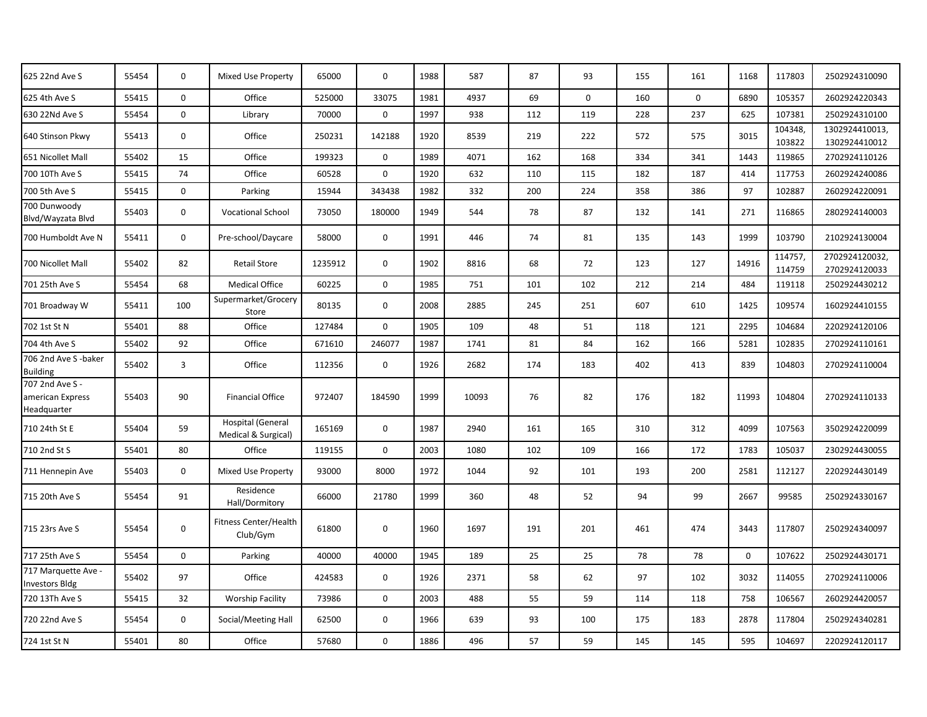| 625 22nd Ave S                                     | 55454 | $\mathbf 0$ | Mixed Use Property                              | 65000   | $\mathbf 0$  | 1988 | 587   | 87  | 93          | 155 | 161         | 1168        | 117803            | 2502924310090                   |
|----------------------------------------------------|-------|-------------|-------------------------------------------------|---------|--------------|------|-------|-----|-------------|-----|-------------|-------------|-------------------|---------------------------------|
| 625 4th Ave S                                      | 55415 | $\mathbf 0$ | Office                                          | 525000  | 33075        | 1981 | 4937  | 69  | $\mathbf 0$ | 160 | $\mathbf 0$ | 6890        | 105357            | 2602924220343                   |
| 630 22Nd Ave S                                     | 55454 | $\mathbf 0$ | Library                                         | 70000   | $\mathbf{0}$ | 1997 | 938   | 112 | 119         | 228 | 237         | 625         | 107381            | 2502924310100                   |
| 640 Stinson Pkwy                                   | 55413 | $\mathbf 0$ | Office                                          | 250231  | 142188       | 1920 | 8539  | 219 | 222         | 572 | 575         | 3015        | 104348,<br>103822 | 1302924410013,<br>1302924410012 |
| 651 Nicollet Mall                                  | 55402 | 15          | Office                                          | 199323  | $\mathbf 0$  | 1989 | 4071  | 162 | 168         | 334 | 341         | 1443        | 119865            | 2702924110126                   |
| 700 10Th Ave S                                     | 55415 | 74          | Office                                          | 60528   | $\mathbf 0$  | 1920 | 632   | 110 | 115         | 182 | 187         | 414         | 117753            | 2602924240086                   |
| 700 5th Ave S                                      | 55415 | $\mathbf 0$ | Parking                                         | 15944   | 343438       | 1982 | 332   | 200 | 224         | 358 | 386         | 97          | 102887            | 2602924220091                   |
| 700 Dunwoody<br>Blvd/Wayzata Blvd                  | 55403 | $\mathbf 0$ | <b>Vocational School</b>                        | 73050   | 180000       | 1949 | 544   | 78  | 87          | 132 | 141         | 271         | 116865            | 2802924140003                   |
| 700 Humboldt Ave N                                 | 55411 | $\mathbf 0$ | Pre-school/Daycare                              | 58000   | $\mathbf 0$  | 1991 | 446   | 74  | 81          | 135 | 143         | 1999        | 103790            | 2102924130004                   |
| 700 Nicollet Mall                                  | 55402 | 82          | <b>Retail Store</b>                             | 1235912 | $\mathbf 0$  | 1902 | 8816  | 68  | 72          | 123 | 127         | 14916       | 114757,<br>114759 | 2702924120032,<br>2702924120033 |
| 701 25th Ave S                                     | 55454 | 68          | <b>Medical Office</b>                           | 60225   | $\mathbf 0$  | 1985 | 751   | 101 | 102         | 212 | 214         | 484         | 119118            | 2502924430212                   |
| 701 Broadway W                                     | 55411 | 100         | Supermarket/Grocery<br>Store                    | 80135   | $\mathbf 0$  | 2008 | 2885  | 245 | 251         | 607 | 610         | 1425        | 109574            | 1602924410155                   |
| 702 1st St N                                       | 55401 | 88          | Office                                          | 127484  | $\mathbf 0$  | 1905 | 109   | 48  | 51          | 118 | 121         | 2295        | 104684            | 2202924120106                   |
| 704 4th Ave S                                      | 55402 | 92          | Office                                          | 671610  | 246077       | 1987 | 1741  | 81  | 84          | 162 | 166         | 5281        | 102835            | 2702924110161                   |
| 706 2nd Ave S-baker<br><b>Building</b>             | 55402 | 3           | Office                                          | 112356  | $\mathbf 0$  | 1926 | 2682  | 174 | 183         | 402 | 413         | 839         | 104803            | 2702924110004                   |
| 707 2nd Ave S -<br>american Express<br>Headquarter | 55403 | 90          | <b>Financial Office</b>                         | 972407  | 184590       | 1999 | 10093 | 76  | 82          | 176 | 182         | 11993       | 104804            | 2702924110133                   |
| 710 24th St E                                      | 55404 | 59          | <b>Hospital (General</b><br>Medical & Surgical) | 165169  | $\mathbf 0$  | 1987 | 2940  | 161 | 165         | 310 | 312         | 4099        | 107563            | 3502924220099                   |
| 710 2nd St S                                       | 55401 | 80          | Office                                          | 119155  | $\mathbf 0$  | 2003 | 1080  | 102 | 109         | 166 | 172         | 1783        | 105037            | 2302924430055                   |
| 711 Hennepin Ave                                   | 55403 | $\mathbf 0$ | Mixed Use Property                              | 93000   | 8000         | 1972 | 1044  | 92  | 101         | 193 | 200         | 2581        | 112127            | 2202924430149                   |
| 715 20th Ave S                                     | 55454 | 91          | Residence<br>Hall/Dormitory                     | 66000   | 21780        | 1999 | 360   | 48  | 52          | 94  | 99          | 2667        | 99585             | 2502924330167                   |
| 715 23rs Ave S                                     | 55454 | $\mathbf 0$ | Fitness Center/Health<br>Club/Gym               | 61800   | $\mathbf 0$  | 1960 | 1697  | 191 | 201         | 461 | 474         | 3443        | 117807            | 2502924340097                   |
| 717 25th Ave S                                     | 55454 | $\mathbf 0$ | Parking                                         | 40000   | 40000        | 1945 | 189   | 25  | 25          | 78  | 78          | $\mathbf 0$ | 107622            | 2502924430171                   |
| 717 Marquette Ave -<br><b>Investors Bldg</b>       | 55402 | 97          | Office                                          | 424583  | $\mathbf 0$  | 1926 | 2371  | 58  | 62          | 97  | 102         | 3032        | 114055            | 2702924110006                   |
| 720 13Th Ave S                                     | 55415 | 32          | <b>Worship Facility</b>                         | 73986   | 0            | 2003 | 488   | 55  | 59          | 114 | 118         | 758         | 106567            | 2602924420057                   |
| 720 22nd Ave S                                     | 55454 | $\mathbf 0$ | Social/Meeting Hall                             | 62500   | $\mathbf 0$  | 1966 | 639   | 93  | 100         | 175 | 183         | 2878        | 117804            | 2502924340281                   |
| 724 1st St N                                       | 55401 | 80          | Office                                          | 57680   | 0            | 1886 | 496   | 57  | 59          | 145 | 145         | 595         | 104697            | 2202924120117                   |
|                                                    |       |             |                                                 |         |              |      |       |     |             |     |             |             |                   |                                 |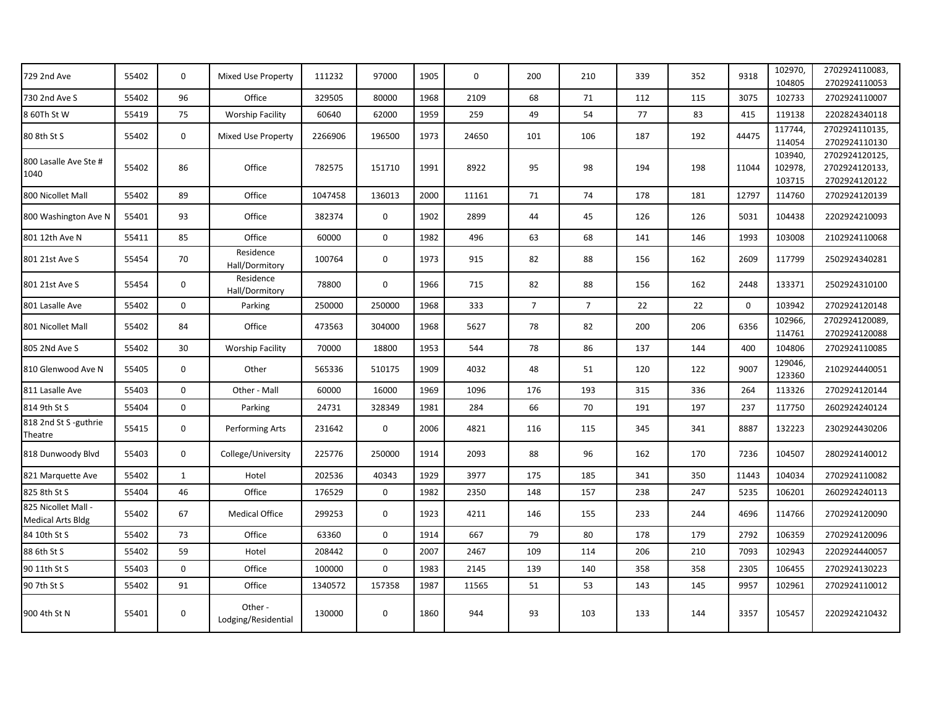| 729 2nd Ave                                     | 55402 | $\mathbf 0$  | Mixed Use Property             | 111232  | 97000       | 1905 | $\mathbf 0$ | 200            | 210            | 339 | 352 | 9318        | 102970,<br>104805            | 2702924110083,<br>2702924110053                  |
|-------------------------------------------------|-------|--------------|--------------------------------|---------|-------------|------|-------------|----------------|----------------|-----|-----|-------------|------------------------------|--------------------------------------------------|
| 730 2nd Ave S                                   | 55402 | 96           | Office                         | 329505  | 80000       | 1968 | 2109        | 68             | 71             | 112 | 115 | 3075        | 102733                       | 2702924110007                                    |
| 8 60Th St W                                     | 55419 | 75           | <b>Worship Facility</b>        | 60640   | 62000       | 1959 | 259         | 49             | 54             | 77  | 83  | 415         | 119138                       | 2202824340118                                    |
| 80 8th St S                                     | 55402 | $\mathbf 0$  | Mixed Use Property             | 2266906 | 196500      | 1973 | 24650       | 101            | 106            | 187 | 192 | 44475       | 117744,<br>114054            | 2702924110135,<br>2702924110130                  |
| 800 Lasalle Ave Ste #<br>1040                   | 55402 | 86           | Office                         | 782575  | 151710      | 1991 | 8922        | 95             | 98             | 194 | 198 | 11044       | 103940,<br>102978,<br>103715 | 2702924120125<br>2702924120133,<br>2702924120122 |
| 800 Nicollet Mall                               | 55402 | 89           | Office                         | 1047458 | 136013      | 2000 | 11161       | 71             | 74             | 178 | 181 | 12797       | 114760                       | 2702924120139                                    |
| 800 Washington Ave N                            | 55401 | 93           | Office                         | 382374  | $\mathbf 0$ | 1902 | 2899        | 44             | 45             | 126 | 126 | 5031        | 104438                       | 2202924210093                                    |
| 801 12th Ave N                                  | 55411 | 85           | Office                         | 60000   | $\mathbf 0$ | 1982 | 496         | 63             | 68             | 141 | 146 | 1993        | 103008                       | 2102924110068                                    |
| 801 21st Ave S                                  | 55454 | 70           | Residence<br>Hall/Dormitory    | 100764  | $\mathbf 0$ | 1973 | 915         | 82             | 88             | 156 | 162 | 2609        | 117799                       | 2502924340281                                    |
| 801 21st Ave S                                  | 55454 | $\mathbf 0$  | Residence<br>Hall/Dormitory    | 78800   | $\mathbf 0$ | 1966 | 715         | 82             | 88             | 156 | 162 | 2448        | 133371                       | 2502924310100                                    |
| 801 Lasalle Ave                                 | 55402 | $\mathbf 0$  | Parking                        | 250000  | 250000      | 1968 | 333         | $\overline{7}$ | $\overline{7}$ | 22  | 22  | $\mathbf 0$ | 103942                       | 2702924120148                                    |
| 801 Nicollet Mall                               | 55402 | 84           | Office                         | 473563  | 304000      | 1968 | 5627        | 78             | 82             | 200 | 206 | 6356        | 102966,<br>114761            | 2702924120089<br>2702924120088                   |
| 805 2Nd Ave S                                   | 55402 | 30           | <b>Worship Facility</b>        | 70000   | 18800       | 1953 | 544         | 78             | 86             | 137 | 144 | 400         | 104806                       | 2702924110085                                    |
| 810 Glenwood Ave N                              | 55405 | $\mathbf 0$  | Other                          | 565336  | 510175      | 1909 | 4032        | 48             | 51             | 120 | 122 | 9007        | 129046,<br>123360            | 2102924440051                                    |
| 811 Lasalle Ave                                 | 55403 | $\mathbf 0$  | Other - Mall                   | 60000   | 16000       | 1969 | 1096        | 176            | 193            | 315 | 336 | 264         | 113326                       | 2702924120144                                    |
| 814 9th St S                                    | 55404 | 0            | Parking                        | 24731   | 328349      | 1981 | 284         | 66             | 70             | 191 | 197 | 237         | 117750                       | 2602924240124                                    |
| 818 2nd St S-guthrie<br>Theatre                 | 55415 | $\mathbf 0$  | Performing Arts                | 231642  | $\mathbf 0$ | 2006 | 4821        | 116            | 115            | 345 | 341 | 8887        | 132223                       | 2302924430206                                    |
| 818 Dunwoody Blvd                               | 55403 | $\mathbf 0$  | College/University             | 225776  | 250000      | 1914 | 2093        | 88             | 96             | 162 | 170 | 7236        | 104507                       | 2802924140012                                    |
| 821 Marquette Ave                               | 55402 | $\mathbf{1}$ | Hotel                          | 202536  | 40343       | 1929 | 3977        | 175            | 185            | 341 | 350 | 11443       | 104034                       | 2702924110082                                    |
| 825 8th St S                                    | 55404 | 46           | Office                         | 176529  | 0           | 1982 | 2350        | 148            | 157            | 238 | 247 | 5235        | 106201                       | 2602924240113                                    |
| 825 Nicollet Mall -<br><b>Medical Arts Bldg</b> | 55402 | 67           | <b>Medical Office</b>          | 299253  | $\mathbf 0$ | 1923 | 4211        | 146            | 155            | 233 | 244 | 4696        | 114766                       | 2702924120090                                    |
| 84 10th St S                                    | 55402 | 73           | Office                         | 63360   | $\mathbf 0$ | 1914 | 667         | 79             | 80             | 178 | 179 | 2792        | 106359                       | 2702924120096                                    |
| 88 6th St S                                     | 55402 | 59           | Hotel                          | 208442  | $\mathbf 0$ | 2007 | 2467        | 109            | 114            | 206 | 210 | 7093        | 102943                       | 2202924440057                                    |
| 90 11th St S                                    | 55403 | $\mathbf 0$  | Office                         | 100000  | $\mathbf 0$ | 1983 | 2145        | 139            | 140            | 358 | 358 | 2305        | 106455                       | 2702924130223                                    |
| 90 7th St S                                     | 55402 | 91           | Office                         | 1340572 | 157358      | 1987 | 11565       | 51             | 53             | 143 | 145 | 9957        | 102961                       | 2702924110012                                    |
| 900 4th St N                                    | 55401 | 0            | Other -<br>Lodging/Residential | 130000  | $\mathbf 0$ | 1860 | 944         | 93             | 103            | 133 | 144 | 3357        | 105457                       | 2202924210432                                    |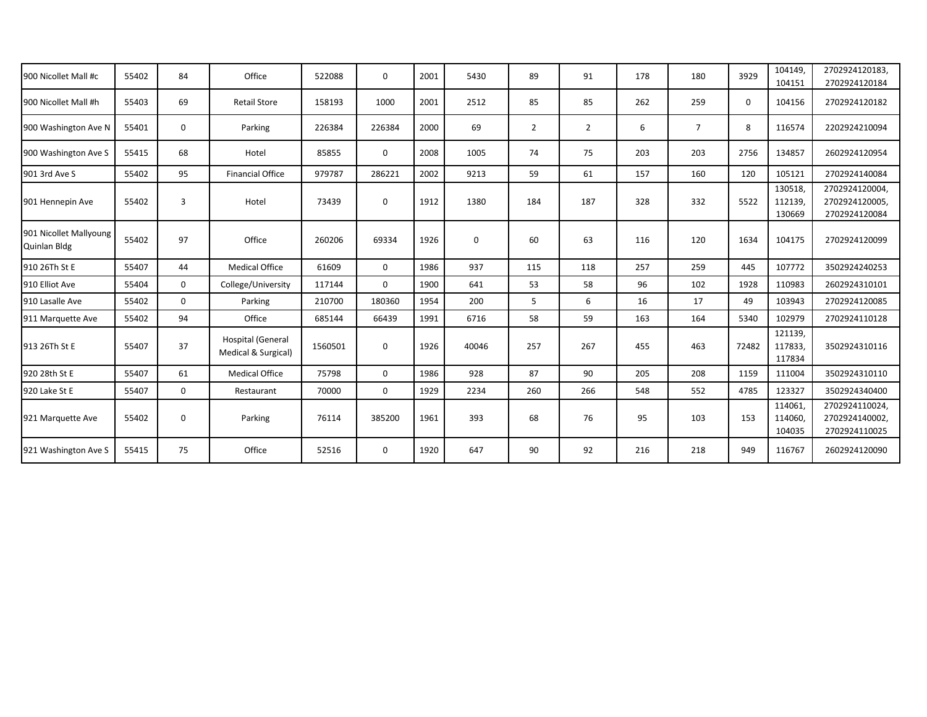| 900 Nicollet Mall #c                   | 55402 | 84             | Office                                          | 522088  | $\Omega$    | 2001 | 5430        | 89             | 91             | 178 | 180            | 3929     | 104149.<br>104151            | 2702924120183,<br>2702924120184                   |
|----------------------------------------|-------|----------------|-------------------------------------------------|---------|-------------|------|-------------|----------------|----------------|-----|----------------|----------|------------------------------|---------------------------------------------------|
| 900 Nicollet Mall #h                   | 55403 | 69             | <b>Retail Store</b>                             | 158193  | 1000        | 2001 | 2512        | 85             | 85             | 262 | 259            | $\Omega$ | 104156                       | 2702924120182                                     |
| 900 Washington Ave N                   | 55401 | $\mathbf 0$    | Parking                                         | 226384  | 226384      | 2000 | 69          | $\overline{2}$ | $\overline{2}$ | 6   | $\overline{7}$ | 8        | 116574                       | 2202924210094                                     |
| 900 Washington Ave S                   | 55415 | 68             | Hotel                                           | 85855   | 0           | 2008 | 1005        | 74             | 75             | 203 | 203            | 2756     | 134857                       | 2602924120954                                     |
| 901 3rd Ave S                          | 55402 | 95             | <b>Financial Office</b>                         | 979787  | 286221      | 2002 | 9213        | 59             | 61             | 157 | 160            | 120      | 105121                       | 2702924140084                                     |
| 901 Hennepin Ave                       | 55402 | $\overline{3}$ | Hotel                                           | 73439   | 0           | 1912 | 1380        | 184            | 187            | 328 | 332            | 5522     | 130518,<br>112139<br>130669  | 2702924120004.<br>2702924120005,<br>2702924120084 |
| 901 Nicollet Mallyoung<br>Quinlan Bldg | 55402 | 97             | Office                                          | 260206  | 69334       | 1926 | $\mathbf 0$ | 60             | 63             | 116 | 120            | 1634     | 104175                       | 2702924120099                                     |
| 910 26Th St E                          | 55407 | 44             | <b>Medical Office</b>                           | 61609   | $\Omega$    | 1986 | 937         | 115            | 118            | 257 | 259            | 445      | 107772                       | 3502924240253                                     |
| 910 Elliot Ave                         | 55404 | $\Omega$       | College/University                              | 117144  | $\Omega$    | 1900 | 641         | 53             | 58             | 96  | 102            | 1928     | 110983                       | 2602924310101                                     |
| 910 Lasalle Ave                        | 55402 | $\Omega$       | Parking                                         | 210700  | 180360      | 1954 | 200         | 5              | 6              | 16  | 17             | 49       | 103943                       | 2702924120085                                     |
| 911 Marquette Ave                      | 55402 | 94             | Office                                          | 685144  | 66439       | 1991 | 6716        | 58             | 59             | 163 | 164            | 5340     | 102979                       | 2702924110128                                     |
| 913 26Th St E                          | 55407 | 37             | <b>Hospital (General</b><br>Medical & Surgical) | 1560501 | $\mathbf 0$ | 1926 | 40046       | 257            | 267            | 455 | 463            | 72482    | 121139,<br>117833,<br>117834 | 3502924310116                                     |
| 920 28th St E                          | 55407 | 61             | <b>Medical Office</b>                           | 75798   | $\mathbf 0$ | 1986 | 928         | 87             | 90             | 205 | 208            | 1159     | 111004                       | 3502924310110                                     |
| 920 Lake St E                          | 55407 | $\mathbf 0$    | Restaurant                                      | 70000   | $\mathbf 0$ | 1929 | 2234        | 260            | 266            | 548 | 552            | 4785     | 123327                       | 3502924340400                                     |
| 921 Marquette Ave                      | 55402 | $\mathbf 0$    | Parking                                         | 76114   | 385200      | 1961 | 393         | 68             | 76             | 95  | 103            | 153      | 114061<br>114060<br>104035   | 2702924110024,<br>2702924140002,<br>2702924110025 |
| 921 Washington Ave S                   | 55415 | 75             | Office                                          | 52516   | 0           | 1920 | 647         | 90             | 92             | 216 | 218            | 949      | 116767                       | 2602924120090                                     |